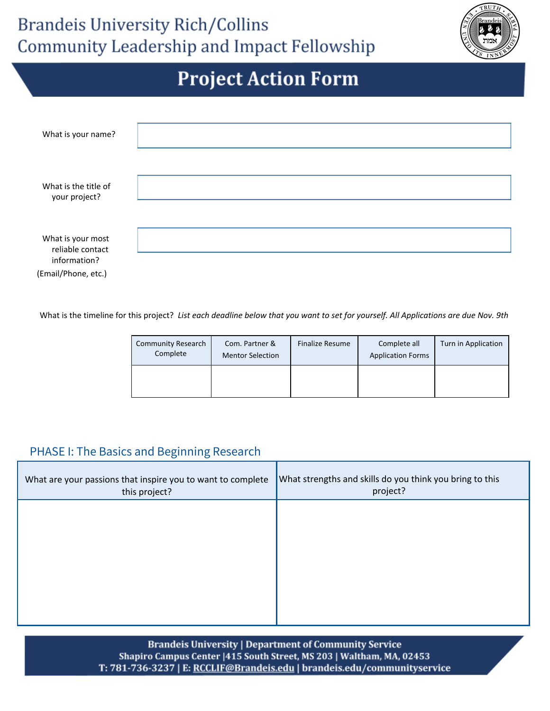

| What is your name?                    |  |
|---------------------------------------|--|
|                                       |  |
| What is the title of<br>your project? |  |
|                                       |  |
| What is your most<br>reliable contact |  |
| information?                          |  |
| (Email/Phone, etc.)                   |  |

What is the timeline for this project? List each deadline below that you want to set for yourself. All Applications are due Nov. 9th

| <b>Community Research</b><br>Complete | Com. Partner &<br><b>Mentor Selection</b> | <b>Finalize Resume</b> | Complete all<br><b>Application Forms</b> | Turn in Application |
|---------------------------------------|-------------------------------------------|------------------------|------------------------------------------|---------------------|
|                                       |                                           |                        |                                          |                     |

#### PHASE I: The Basics and Beginning Research

| What are your passions that inspire you to want to complete<br>this project? | What strengths and skills do you think you bring to this<br>project? |
|------------------------------------------------------------------------------|----------------------------------------------------------------------|
|                                                                              |                                                                      |
|                                                                              |                                                                      |
|                                                                              |                                                                      |
|                                                                              |                                                                      |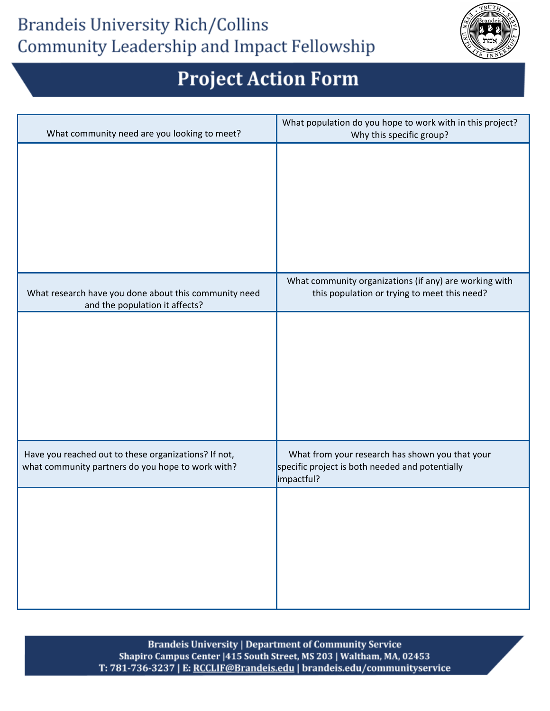#### **Brandeis University Rich/Collins** Community Leadership and Impact Fellowship



# **Project Action Form**

| What community need are you looking to meet?                                                              | What population do you hope to work with in this project?<br>Why this specific group?                            |
|-----------------------------------------------------------------------------------------------------------|------------------------------------------------------------------------------------------------------------------|
|                                                                                                           |                                                                                                                  |
|                                                                                                           |                                                                                                                  |
|                                                                                                           |                                                                                                                  |
|                                                                                                           |                                                                                                                  |
|                                                                                                           |                                                                                                                  |
| What research have you done about this community need<br>and the population it affects?                   | What community organizations (if any) are working with<br>this population or trying to meet this need?           |
|                                                                                                           |                                                                                                                  |
|                                                                                                           |                                                                                                                  |
|                                                                                                           |                                                                                                                  |
|                                                                                                           |                                                                                                                  |
|                                                                                                           |                                                                                                                  |
| Have you reached out to these organizations? If not,<br>what community partners do you hope to work with? | What from your research has shown you that your<br>specific project is both needed and potentially<br>impactful? |
|                                                                                                           |                                                                                                                  |
|                                                                                                           |                                                                                                                  |
|                                                                                                           |                                                                                                                  |
|                                                                                                           |                                                                                                                  |
|                                                                                                           |                                                                                                                  |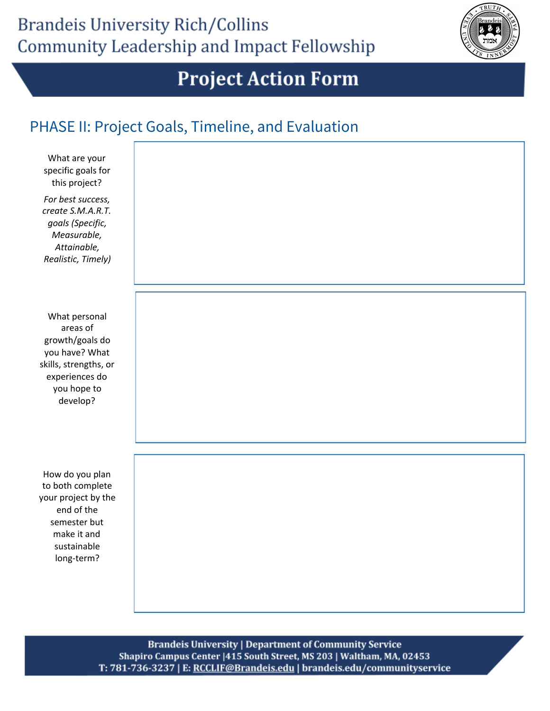

#### PHASE II: Project Goals, Timeline, and Evaluation

| What are your<br>specific goals for<br>this project?<br>For best success,<br>create S.M.A.R.T.<br>goals (Specific,<br>Measurable,<br>Attainable,<br>Realistic, Timely) |  |
|------------------------------------------------------------------------------------------------------------------------------------------------------------------------|--|
| What personal<br>areas of<br>growth/goals do<br>you have? What<br>skills, strengths, or<br>experiences do<br>you hope to<br>develop?                                   |  |
| How do you plan<br>to both complete<br>your project by the<br>end of the<br>semester but<br>make it and<br>sustainable<br>long-term?                                   |  |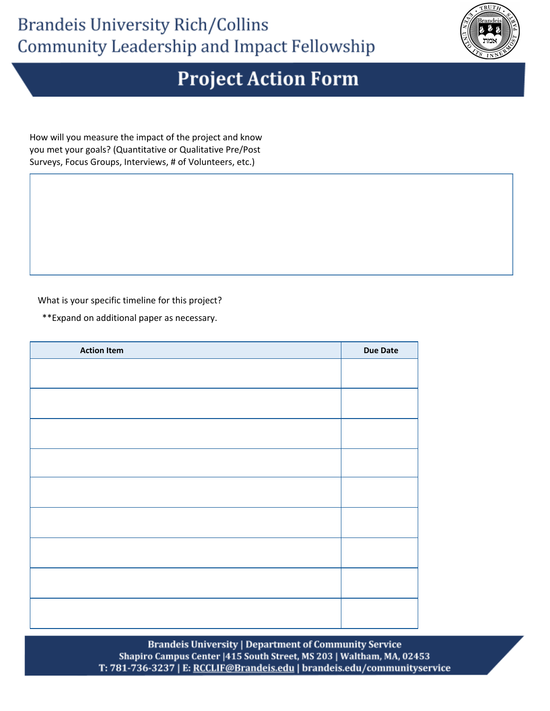

How will you measure the impact of the project and know you met your goals? (Quantitative or Qualitative Pre/Post Surveys, Focus Groups, Interviews, # of Volunteers, etc.)

What is your specific timeline for this project?

\*\*Expand on additional paper as necessary.

| <b>Action Item</b> | <b>Due Date</b> |
|--------------------|-----------------|
|                    |                 |
|                    |                 |
|                    |                 |
|                    |                 |
|                    |                 |
|                    |                 |
|                    |                 |
|                    |                 |
|                    |                 |
|                    |                 |
|                    |                 |
|                    |                 |
|                    |                 |
|                    |                 |
|                    |                 |
|                    |                 |
|                    |                 |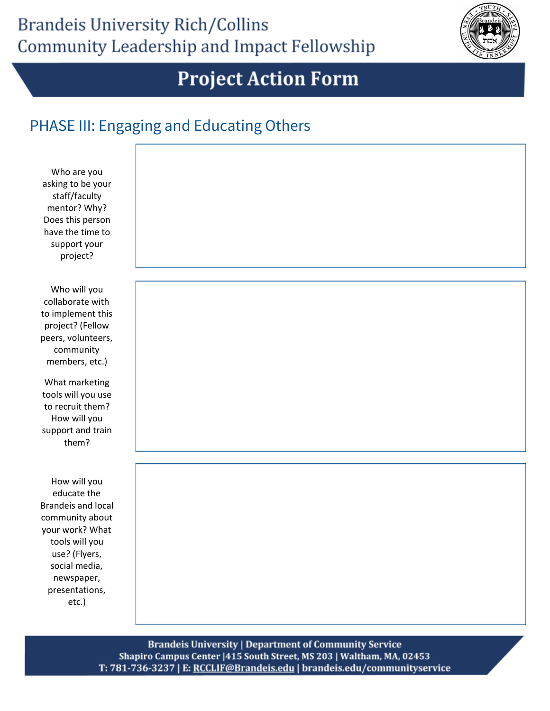

#### PHASE III: Engaging and Educating Others

| Who are you<br>asking to be your<br>staff/faculty<br>mentor? Why?<br>Does this person<br>have the time to<br>support your<br>project?                                                       |  |
|---------------------------------------------------------------------------------------------------------------------------------------------------------------------------------------------|--|
| Who will you<br>collaborate with<br>to implement this<br>project? (Fellow<br>peers, volunteers,<br>community<br>members, etc.)                                                              |  |
| What marketing<br>tools will you use<br>to recruit them?<br>How will you<br>support and train<br>them?                                                                                      |  |
| How will you<br>educate the<br><b>Brandeis and local</b><br>community about<br>your work? What<br>tools will you<br>use? (Flyers,<br>social media,<br>newspaper,<br>presentations,<br>etc.) |  |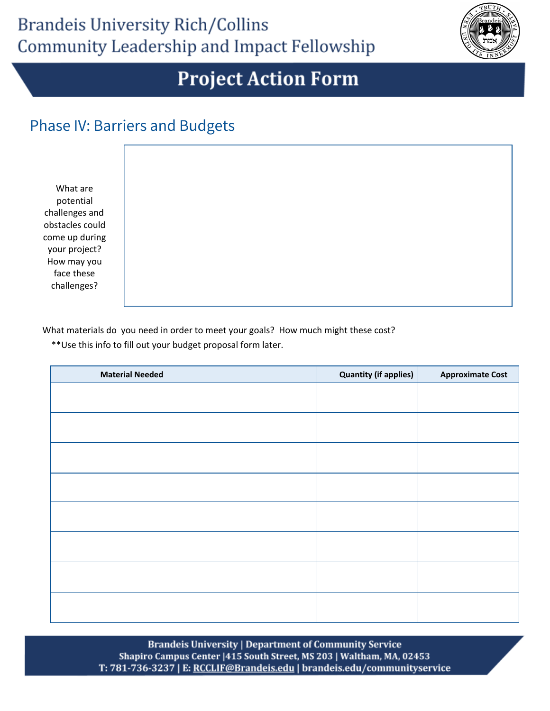

#### Phase IV: Barriers and Budgets

What are potential challenges and obstacles could come up during your project? How may you face these challenges?

What materials do you need in order to meet your goals? How much might these cost?

\*\*Use this info to fill out your budget proposal form later.

| <b>Material Needed</b> | <b>Quantity (if applies)</b> | <b>Approximate Cost</b> |
|------------------------|------------------------------|-------------------------|
|                        |                              |                         |
|                        |                              |                         |
|                        |                              |                         |
|                        |                              |                         |
|                        |                              |                         |
|                        |                              |                         |
|                        |                              |                         |
|                        |                              |                         |
|                        |                              |                         |
|                        |                              |                         |
|                        |                              |                         |
|                        |                              |                         |
|                        |                              |                         |
|                        |                              |                         |
|                        |                              |                         |
|                        |                              |                         |